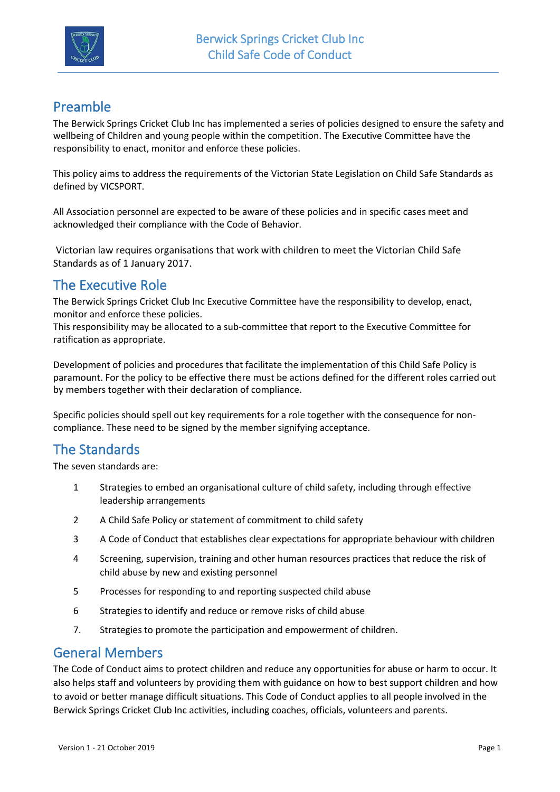

# Preamble

The Berwick Springs Cricket Club Inc has implemented a series of policies designed to ensure the safety and wellbeing of Children and young people within the competition. The Executive Committee have the responsibility to enact, monitor and enforce these policies.

This policy aims to address the requirements of the Victorian State Legislation on Child Safe Standards as defined by VICSPORT.

All Association personnel are expected to be aware of these policies and in specific cases meet and acknowledged their compliance with the Code of Behavior.

Victorian law requires organisations that work with children to meet the Victorian Child Safe Standards as of 1 January 2017.

## The Executive Role

The Berwick Springs Cricket Club Inc Executive Committee have the responsibility to develop, enact, monitor and enforce these policies.

This responsibility may be allocated to a sub-committee that report to the Executive Committee for ratification as appropriate.

Development of policies and procedures that facilitate the implementation of this Child Safe Policy is paramount. For the policy to be effective there must be actions defined for the different roles carried out by members together with their declaration of compliance.

Specific policies should spell out key requirements for a role together with the consequence for noncompliance. These need to be signed by the member signifying acceptance.

# The Standards

The seven standards are:

- 1 Strategies to embed an organisational culture of child safety, including through effective leadership arrangements
- 2 A Child Safe Policy or statement of commitment to child safety
- 3 A Code of Conduct that establishes clear expectations for appropriate behaviour with children
- 4 Screening, supervision, training and other human resources practices that reduce the risk of child abuse by new and existing personnel
- 5 Processes for responding to and reporting suspected child abuse
- 6 Strategies to identify and reduce or remove risks of child abuse
- 7. Strategies to promote the participation and empowerment of children.

### General Members

The Code of Conduct aims to protect children and reduce any opportunities for abuse or harm to occur. It also helps staff and volunteers by providing them with guidance on how to best support children and how to avoid or better manage difficult situations. This Code of Conduct applies to all people involved in the Berwick Springs Cricket Club Inc activities, including coaches, officials, volunteers and parents.